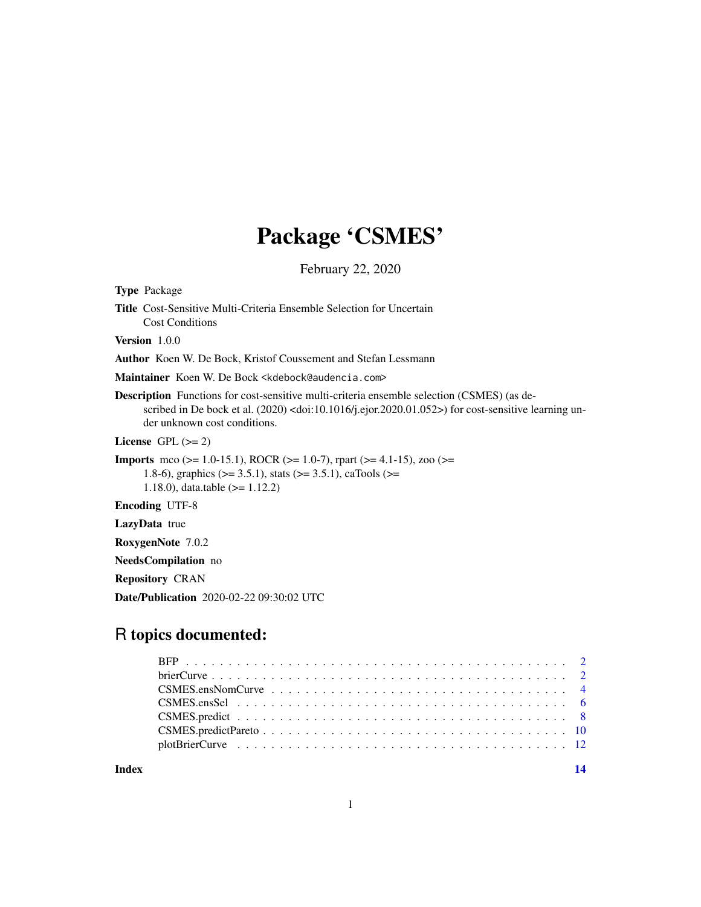# Package 'CSMES'

February 22, 2020

| <b>Title</b> Cost-Sensitive Multi-Criteria Ensemble Selection for Uncertain<br><b>Cost Conditions</b>                                                                                                                                                       |
|-------------------------------------------------------------------------------------------------------------------------------------------------------------------------------------------------------------------------------------------------------------|
| <b>Version</b> 1.0.0                                                                                                                                                                                                                                        |
| Author Koen W. De Bock, Kristof Coussement and Stefan Lessmann                                                                                                                                                                                              |
| Maintainer Koen W. De Bock <kdebock@audencia.com></kdebock@audencia.com>                                                                                                                                                                                    |
| <b>Description</b> Functions for cost-sensitive multi-criteria ensemble selection (CSMES) (as de-<br>scribed in De bock et al. $(2020)$ <doi:10.1016 j.ejor.2020.01.052="">) for cost-sensitive learning un-<br/>der unknown cost conditions.</doi:10.1016> |
| License $GPL (= 2)$                                                                                                                                                                                                                                         |
| <b>Imports</b> mco ( $>= 1.0-15.1$ ), ROCR ( $>= 1.0-7$ ), rpart ( $>= 4.1-15$ ), zoo ( $>=$<br>1.8-6), graphics ( $> = 3.5.1$ ), stats ( $> = 3.5.1$ ), caTools ( $> =$<br>1.18.0), data.table $(>= 1.12.2)$                                               |
| <b>Encoding UTF-8</b>                                                                                                                                                                                                                                       |
| <b>LazyData</b> true                                                                                                                                                                                                                                        |
| <b>RoxygenNote</b> 7.0.2                                                                                                                                                                                                                                    |

NeedsCompilation no

Repository CRAN

Type Package

Date/Publication 2020-02-22 09:30:02 UTC

# R topics documented:

**Index** 2008 **[14](#page-13-0)**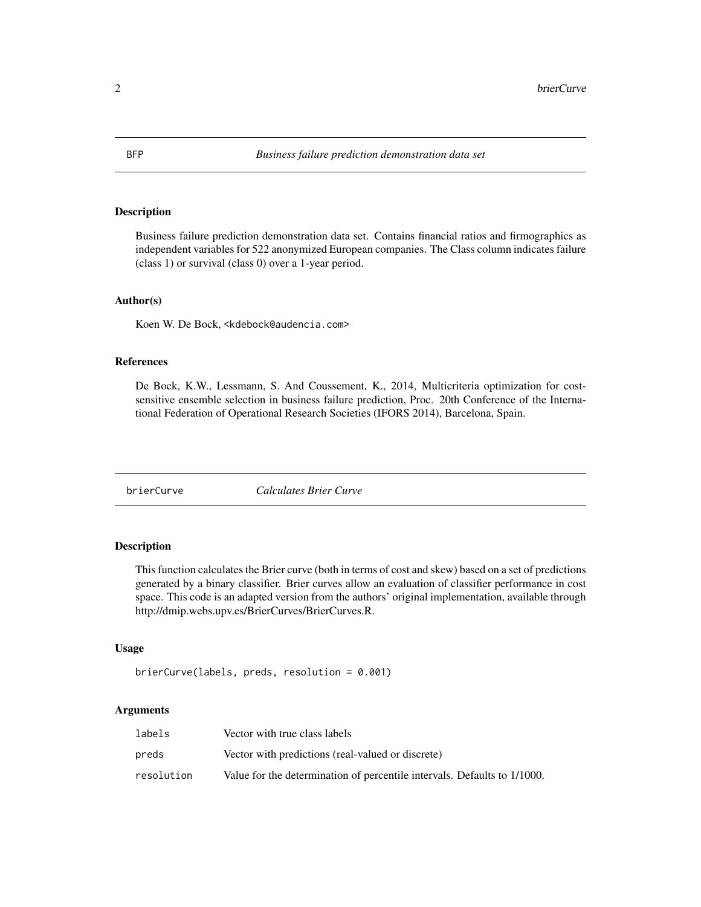#### <span id="page-1-0"></span>Description

Business failure prediction demonstration data set. Contains financial ratios and firmographics as independent variables for 522 anonymized European companies. The Class column indicates failure (class 1) or survival (class 0) over a 1-year period.

#### Author(s)

Koen W. De Bock, <kdebock@audencia.com>

#### References

De Bock, K.W., Lessmann, S. And Coussement, K., 2014, Multicriteria optimization for costsensitive ensemble selection in business failure prediction, Proc. 20th Conference of the International Federation of Operational Research Societies (IFORS 2014), Barcelona, Spain.

<span id="page-1-1"></span>brierCurve *Calculates Brier Curve*

#### Description

This function calculates the Brier curve (both in terms of cost and skew) based on a set of predictions generated by a binary classifier. Brier curves allow an evaluation of classifier performance in cost space. This code is an adapted version from the authors' original implementation, available through http://dmip.webs.upv.es/BrierCurves/BrierCurves.R.

#### Usage

```
brierCurve(labels, preds, resolution = 0.001)
```
#### Arguments

| labels     | Vector with true class labels                                            |
|------------|--------------------------------------------------------------------------|
| preds      | Vector with predictions (real-valued or discrete)                        |
| resolution | Value for the determination of percentile intervals. Defaults to 1/1000. |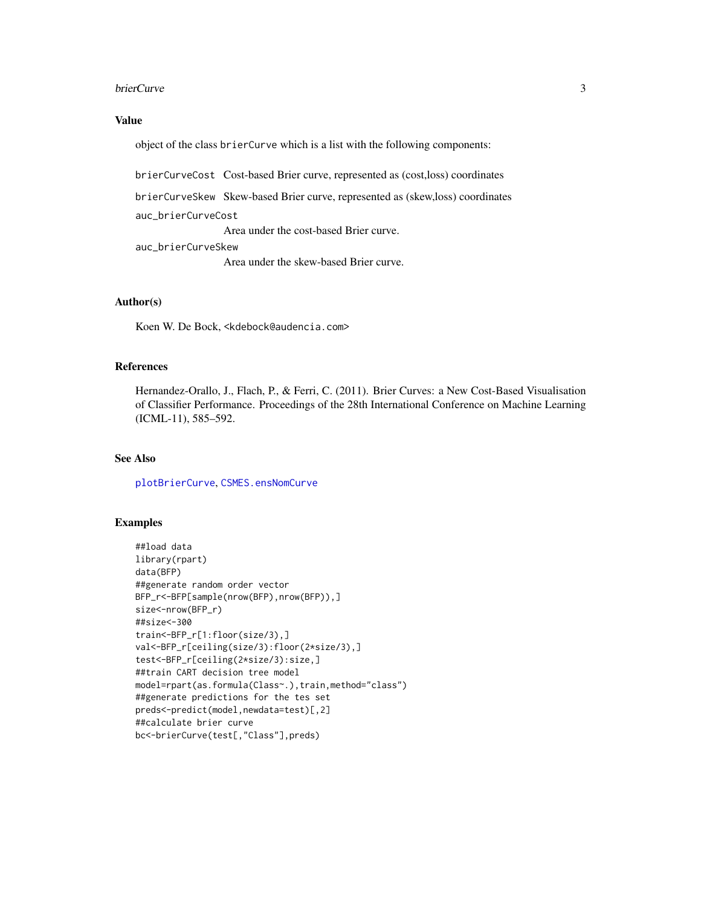#### <span id="page-2-0"></span>brierCurve 3

#### Value

object of the class brierCurve which is a list with the following components:

brierCurveCost Cost-based Brier curve, represented as (cost,loss) coordinates

brierCurveSkew Skew-based Brier curve, represented as (skew,loss) coordinates auc\_brierCurveCost

Area under the cost-based Brier curve.

auc\_brierCurveSkew Area under the skew-based Brier curve.

# Author(s)

Koen W. De Bock, <kdebock@audencia.com>

# References

Hernandez-Orallo, J., Flach, P., & Ferri, C. (2011). Brier Curves: a New Cost-Based Visualisation of Classifier Performance. Proceedings of the 28th International Conference on Machine Learning (ICML-11), 585–592.

#### See Also

[plotBrierCurve](#page-11-1), [CSMES.ensNomCurve](#page-3-1)

```
##load data
library(rpart)
data(BFP)
##generate random order vector
BFP_r<-BFP[sample(nrow(BFP),nrow(BFP)),]
size<-nrow(BFP_r)
##size<-300
train<-BFP_r[1:floor(size/3),]
val<-BFP_r[ceiling(size/3):floor(2*size/3),]
test<-BFP_r[ceiling(2*size/3):size,]
##train CART decision tree model
model=rpart(as.formula(Class~.),train,method="class")
##generate predictions for the tes set
preds<-predict(model,newdata=test)[,2]
##calculate brier curve
bc<-brierCurve(test[,"Class"],preds)
```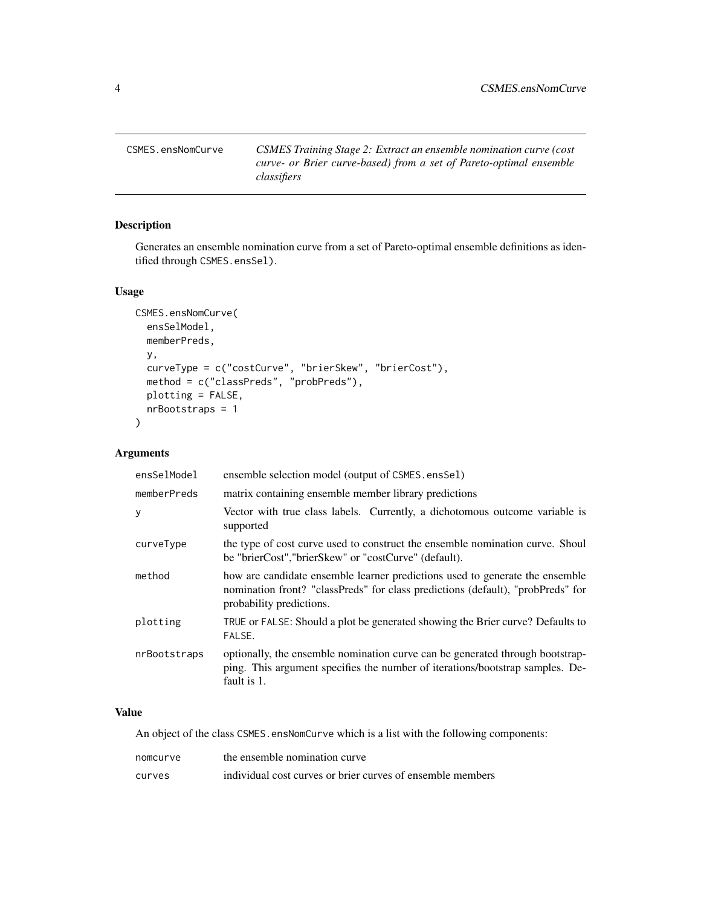<span id="page-3-1"></span><span id="page-3-0"></span>CSMES.ensNomCurve *CSMES Training Stage 2: Extract an ensemble nomination curve (cost curve- or Brier curve-based) from a set of Pareto-optimal ensemble classifiers*

# Description

Generates an ensemble nomination curve from a set of Pareto-optimal ensemble definitions as identified through CSMES.ensSel).

# Usage

```
CSMES.ensNomCurve(
  ensSelModel,
 memberPreds,
 y,
  curveType = c("costCurve", "brierSkew", "brierCost"),
  method = c("classPreds", "probPreds"),
 plotting = FALSE,
  nrBootstraps = 1
)
```
# Arguments

| ensSelModel  | ensemble selection model (output of CSMES.ensSel)                                                                                                                                           |
|--------------|---------------------------------------------------------------------------------------------------------------------------------------------------------------------------------------------|
| memberPreds  | matrix containing ensemble member library predictions                                                                                                                                       |
| y            | Vector with true class labels. Currently, a dichotomous outcome variable is<br>supported                                                                                                    |
| curveType    | the type of cost curve used to construct the ensemble nomination curve. Shoul<br>be "brierCost", "brierSkew" or "costCurve" (default).                                                      |
| method       | how are candidate ensemble learner predictions used to generate the ensemble<br>nomination front? "classPreds" for class predictions (default), "probPreds" for<br>probability predictions. |
| plotting     | TRUE or FALSE: Should a plot be generated showing the Brier curve? Defaults to<br>FALSE.                                                                                                    |
| nrBootstraps | optionally, the ensemble nomination curve can be generated through bootstrap-<br>ping. This argument specifies the number of iterations/bootstrap samples. De-<br>fault is 1.               |

# Value

An object of the class CSMES.ensNomCurve which is a list with the following components:

| nomcurve | the ensemble nomination curve                              |
|----------|------------------------------------------------------------|
| curves   | individual cost curves or brier curves of ensemble members |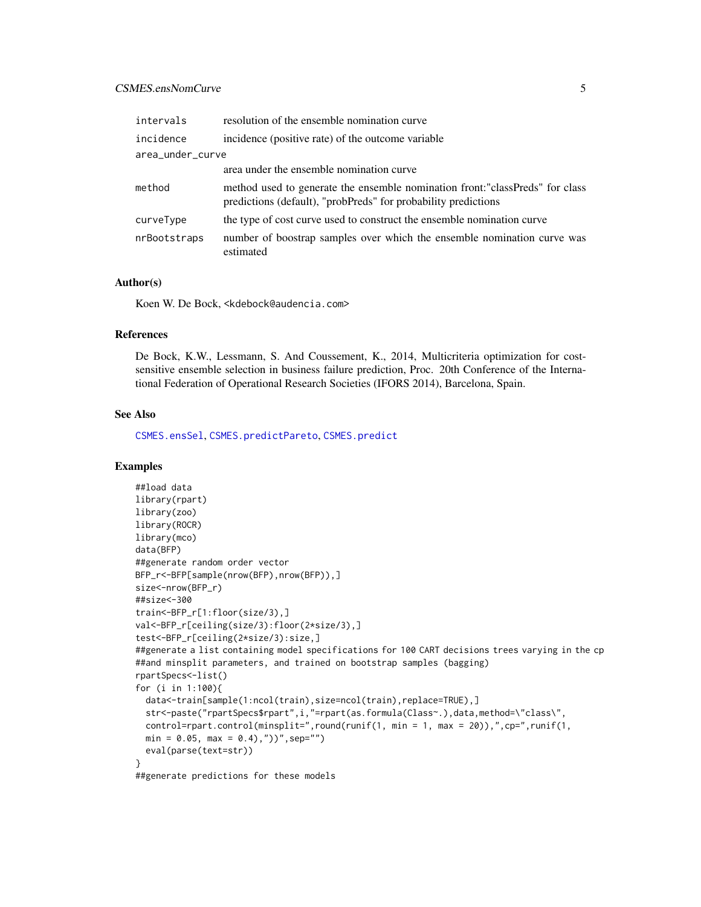# <span id="page-4-0"></span>CSMES.ensNomCurve 5

| intervals        | resolution of the ensemble nomination curve                                                                                                     |
|------------------|-------------------------------------------------------------------------------------------------------------------------------------------------|
| incidence        | incidence (positive rate) of the outcome variable                                                                                               |
| area_under_curve |                                                                                                                                                 |
|                  | area under the ensemble nomination curve                                                                                                        |
| method           | method used to generate the ensemble nomination front: "classPreds" for class<br>predictions (default), "probPreds" for probability predictions |
| curveType        | the type of cost curve used to construct the ensemble nomination curve                                                                          |
| nrBootstraps     | number of boostrap samples over which the ensemble nomination curve was<br>estimated                                                            |

# Author(s)

Koen W. De Bock, <kdebock@audencia.com>

#### References

De Bock, K.W., Lessmann, S. And Coussement, K., 2014, Multicriteria optimization for costsensitive ensemble selection in business failure prediction, Proc. 20th Conference of the International Federation of Operational Research Societies (IFORS 2014), Barcelona, Spain.

# See Also

[CSMES.ensSel](#page-5-1), [CSMES.predictPareto](#page-9-1), [CSMES.predict](#page-7-1)

```
##load data
library(rpart)
library(zoo)
library(ROCR)
library(mco)
data(BFP)
##generate random order vector
BFP_r<-BFP[sample(nrow(BFP),nrow(BFP)),]
size<-nrow(BFP_r)
##size<-300
train<-BFP_r[1:floor(size/3),]
val<-BFP_r[ceiling(size/3):floor(2*size/3),]
test<-BFP_r[ceiling(2*size/3):size,]
##generate a list containing model specifications for 100 CART decisions trees varying in the cp
##and minsplit parameters, and trained on bootstrap samples (bagging)
rpartSpecs<-list()
for (i in 1:100){
  data<-train[sample(1:ncol(train),size=ncol(train),replace=TRUE),]
  str<-paste("rpartSpecs$rpart",i,"=rpart(as.formula(Class~.),data,method=\"class\",
  control=rpart.control(minsplit=",round(runif(1, min = 1, max = 20)),",cp=",runif(1,
  min = 0.05, max = 0.4, "))", sep="")
  eval(parse(text=str))
}
##generate predictions for these models
```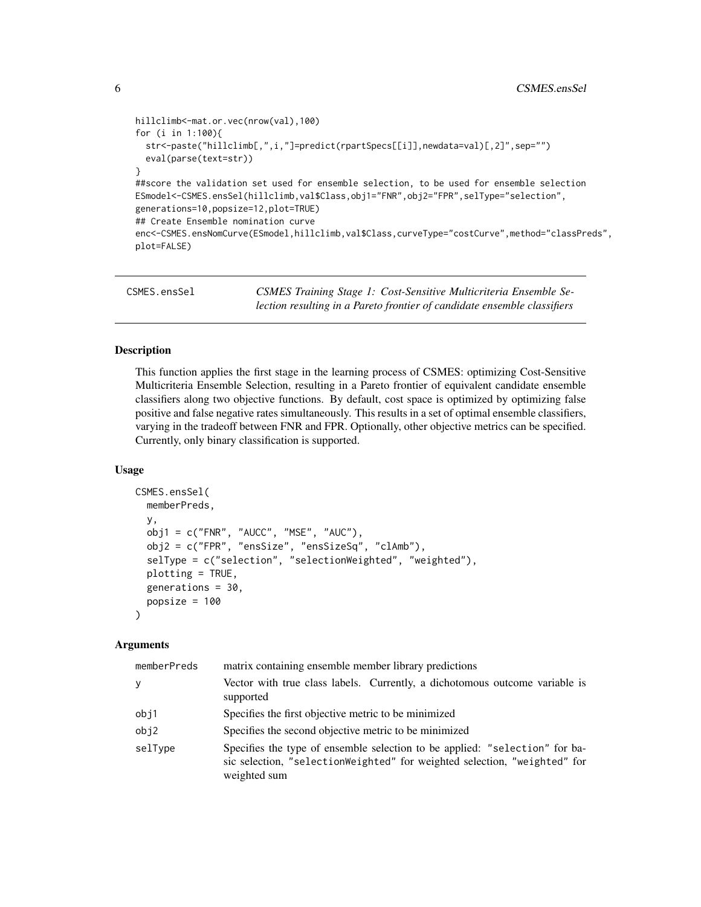```
hillclimb<-mat.or.vec(nrow(val),100)
for (i in 1:100){
  str<-paste("hillclimb[,",i,"]=predict(rpartSpecs[[i]],newdata=val)[,2]",sep="")
  eval(parse(text=str))
}
##score the validation set used for ensemble selection, to be used for ensemble selection
ESmodel<-CSMES.ensSel(hillclimb,val$Class,obj1="FNR",obj2="FPR",selType="selection",
generations=10,popsize=12,plot=TRUE)
## Create Ensemble nomination curve
enc<-CSMES.ensNomCurve(ESmodel,hillclimb,val$Class,curveType="costCurve",method="classPreds",
plot=FALSE)
```
<span id="page-5-1"></span>

| CSMES.ensSel | CSMES Training Stage 1: Cost-Sensitive Multicriteria Ensemble Se-        |
|--------------|--------------------------------------------------------------------------|
|              | lection resulting in a Pareto frontier of candidate ensemble classifiers |

# Description

This function applies the first stage in the learning process of CSMES: optimizing Cost-Sensitive Multicriteria Ensemble Selection, resulting in a Pareto frontier of equivalent candidate ensemble classifiers along two objective functions. By default, cost space is optimized by optimizing false positive and false negative rates simultaneously. This results in a set of optimal ensemble classifiers, varying in the tradeoff between FNR and FPR. Optionally, other objective metrics can be specified. Currently, only binary classification is supported.

#### Usage

```
CSMES.ensSel(
 memberPreds,
 y,
 obj1 = c("FNR", "AUCC", "MSE", "AUC"),
  obj2 = c("FPR", "ensSize", "ensSizeSq", "clAmb"),
  selType = c("selection", "selectionWeighted", "weighted"),
 plotting = TRUE,
 generations = 30,
 popsize = 100\lambda
```
## Arguments

| memberPreds | matrix containing ensemble member library predictions                                                                                                                    |
|-------------|--------------------------------------------------------------------------------------------------------------------------------------------------------------------------|
| y           | Vector with true class labels. Currently, a dichotomous outcome variable is<br>supported                                                                                 |
| obj1        | Specifies the first objective metric to be minimized                                                                                                                     |
| obj2        | Specifies the second objective metric to be minimized                                                                                                                    |
| selType     | Specifies the type of ensemble selection to be applied: "selection" for ba-<br>sic selection, "selectionWeighted" for weighted selection, "weighted" for<br>weighted sum |

<span id="page-5-0"></span>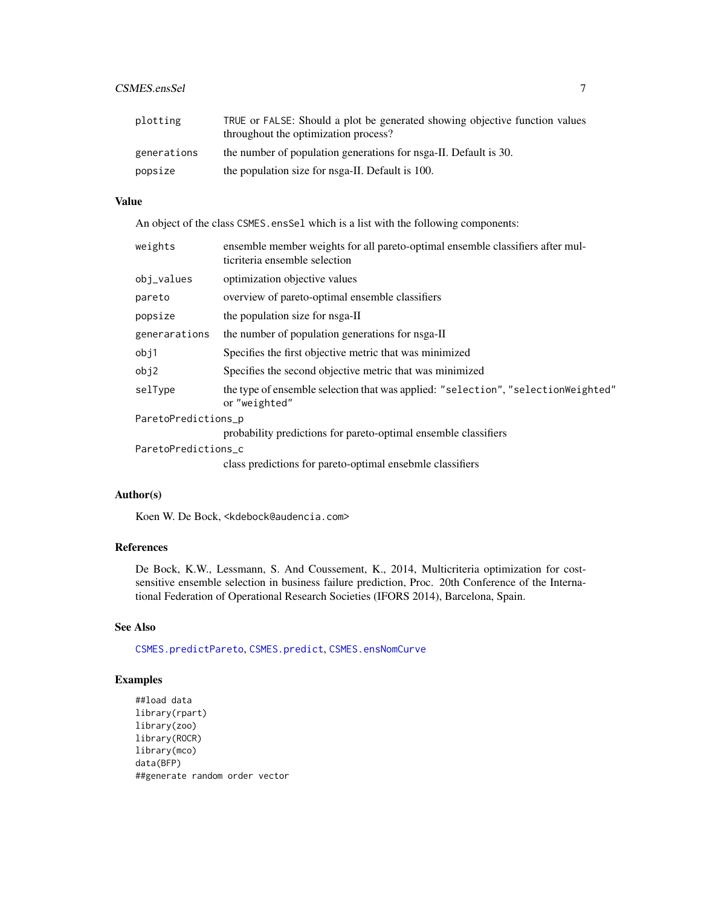# <span id="page-6-0"></span>CSMES.ensSel 7

| plotting    | TRUE or FALSE: Should a plot be generated showing objective function values<br>throughout the optimization process? |
|-------------|---------------------------------------------------------------------------------------------------------------------|
| generations | the number of population generations for nsga-II. Default is 30.                                                    |
| popsize     | the population size for nsga-II. Default is 100.                                                                    |

# Value

An object of the class CSMES.ensSel which is a list with the following components:

| weights             | ensemble member weights for all pareto-optimal ensemble classifiers after mul-<br>ticriteria ensemble selection |
|---------------------|-----------------------------------------------------------------------------------------------------------------|
| obj_values          | optimization objective values                                                                                   |
| pareto              | overview of pareto-optimal ensemble classifiers                                                                 |
| popsize             | the population size for nsga-II                                                                                 |
| generarations       | the number of population generations for nsga-II                                                                |
| obj1                | Specifies the first objective metric that was minimized                                                         |
| obj2                | Specifies the second objective metric that was minimized                                                        |
| selType             | the type of ensemble selection that was applied: "selection", "selection Weighted"<br>or "weighted"             |
| ParetoPredictions_p |                                                                                                                 |
|                     | probability predictions for pareto-optimal ensemble classifiers                                                 |
| ParetoPredictions c |                                                                                                                 |
|                     | class predictions for pareto-optimal ensebmle classifiers                                                       |

# Author(s)

Koen W. De Bock, <kdebock@audencia.com>

# References

De Bock, K.W., Lessmann, S. And Coussement, K., 2014, Multicriteria optimization for costsensitive ensemble selection in business failure prediction, Proc. 20th Conference of the International Federation of Operational Research Societies (IFORS 2014), Barcelona, Spain.

# See Also

[CSMES.predictPareto](#page-9-1), [CSMES.predict](#page-7-1), [CSMES.ensNomCurve](#page-3-1)

```
##load data
library(rpart)
library(zoo)
library(ROCR)
library(mco)
data(BFP)
##generate random order vector
```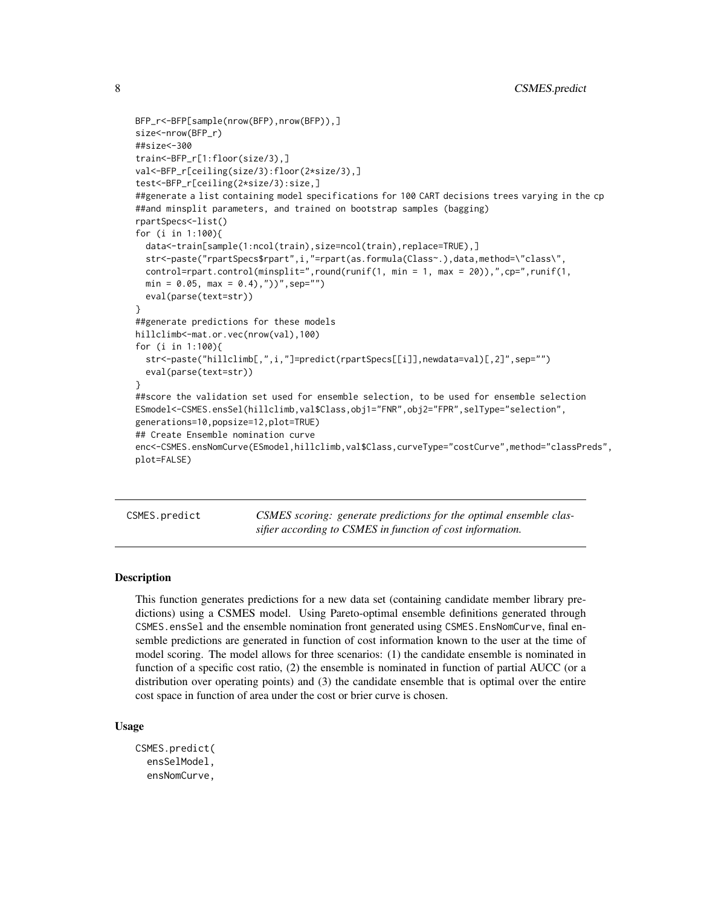```
BFP_r<-BFP[sample(nrow(BFP),nrow(BFP)),]
size<-nrow(BFP_r)
##size<-300
train<-BFP_r[1:floor(size/3),]
val<-BFP_r[ceiling(size/3):floor(2*size/3),]
test<-BFP_r[ceiling(2*size/3):size,]
##generate a list containing model specifications for 100 CART decisions trees varying in the cp
##and minsplit parameters, and trained on bootstrap samples (bagging)
rpartSpecs<-list()
for (i in 1:100){
 data<-train[sample(1:ncol(train),size=ncol(train),replace=TRUE),]
 str<-paste("rpartSpecs$rpart",i,"=rpart(as.formula(Class~.),data,method=\"class\",
 control=rpart.control(minsplit=",round(runif(1, min = 1, max = 20)),",cp=",runif(1,
 min = 0.05, max = 0.4, ))", sep ="")
 eval(parse(text=str))
}
##generate predictions for these models
hillclimb<-mat.or.vec(nrow(val),100)
for (i in 1:100){
 str<-paste("hillclimb[,",i,"]=predict(rpartSpecs[[i]],newdata=val)[,2]",sep="")
 eval(parse(text=str))
}
##score the validation set used for ensemble selection, to be used for ensemble selection
ESmodel<-CSMES.ensSel(hillclimb,val$Class,obj1="FNR",obj2="FPR",selType="selection",
generations=10,popsize=12,plot=TRUE)
## Create Ensemble nomination curve
enc<-CSMES.ensNomCurve(ESmodel,hillclimb,val$Class,curveType="costCurve",method="classPreds",
plot=FALSE)
```
<span id="page-7-1"></span>CSMES.predict *CSMES scoring: generate predictions for the optimal ensemble classifier according to CSMES in function of cost information.*

#### **Description**

This function generates predictions for a new data set (containing candidate member library predictions) using a CSMES model. Using Pareto-optimal ensemble definitions generated through CSMES.ensSel and the ensemble nomination front generated using CSMES.EnsNomCurve, final ensemble predictions are generated in function of cost information known to the user at the time of model scoring. The model allows for three scenarios: (1) the candidate ensemble is nominated in function of a specific cost ratio, (2) the ensemble is nominated in function of partial AUCC (or a distribution over operating points) and (3) the candidate ensemble that is optimal over the entire cost space in function of area under the cost or brier curve is chosen.

#### Usage

```
CSMES.predict(
  ensSelModel,
  ensNomCurve,
```
<span id="page-7-0"></span>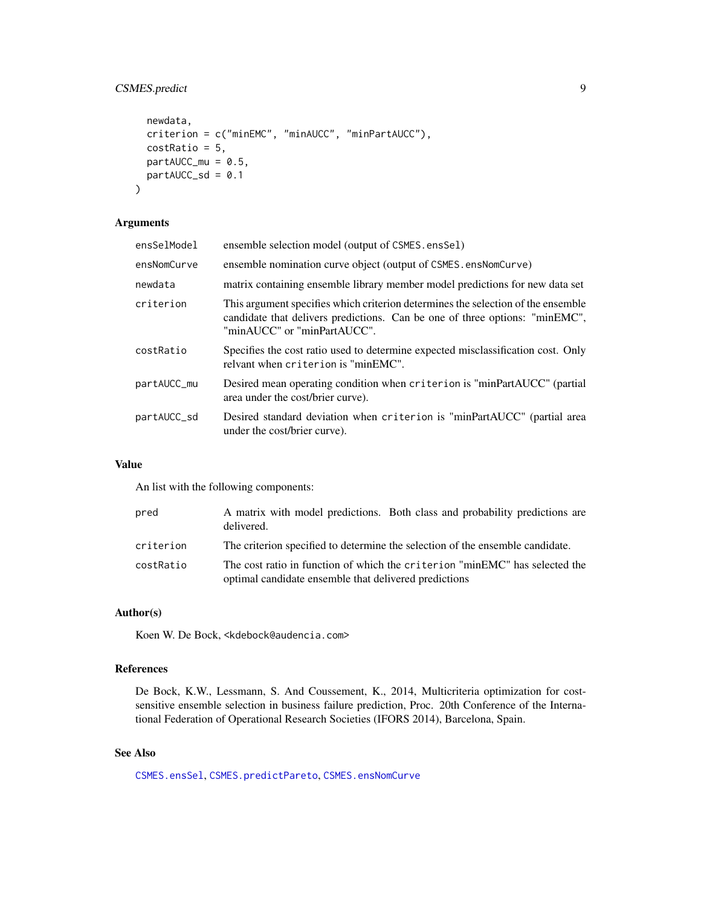# <span id="page-8-0"></span>CSMES.predict 9

```
newdata,
 criterion = c("minEMC", "minAUCC", "minPartAUCC"),
 costRatio = 5,
 partAUCC_mu = 0.5,
 partAUCC_Sd = 0.1\mathcal{L}
```
#### Arguments

| ensSelModel | ensemble selection model (output of CSMES.ensSel)                                                                                                                                              |
|-------------|------------------------------------------------------------------------------------------------------------------------------------------------------------------------------------------------|
| ensNomCurve | ensemble nomination curve object (output of CSMES.ensNomCurve)                                                                                                                                 |
| newdata     | matrix containing ensemble library member model predictions for new data set                                                                                                                   |
| criterion   | This argument specifies which criterion determines the selection of the ensemble<br>candidate that delivers predictions. Can be one of three options: "minEMC",<br>"minAUCC" or "minPartAUCC". |
| costRatio   | Specifies the cost ratio used to determine expected misclassification cost. Only<br>relyant when criterion is "minEMC".                                                                        |
| partAUCC_mu | Desired mean operating condition when criterion is "minPartAUCC" (partial<br>area under the cost/brier curve).                                                                                 |
| partAUCC_sd | Desired standard deviation when criterion is "minPartAUCC" (partial area<br>under the cost/brier curve).                                                                                       |

#### Value

An list with the following components:

| pred      | A matrix with model predictions. Both class and probability predictions are<br>delivered.                                            |
|-----------|--------------------------------------------------------------------------------------------------------------------------------------|
| criterion | The criterion specified to determine the selection of the ensemble candidate.                                                        |
| costRatio | The cost ratio in function of which the criterion "minEMC" has selected the<br>optimal candidate ensemble that delivered predictions |

# Author(s)

Koen W. De Bock, <kdebock@audencia.com>

# References

De Bock, K.W., Lessmann, S. And Coussement, K., 2014, Multicriteria optimization for costsensitive ensemble selection in business failure prediction, Proc. 20th Conference of the International Federation of Operational Research Societies (IFORS 2014), Barcelona, Spain.

#### See Also

[CSMES.ensSel](#page-5-1), [CSMES.predictPareto](#page-9-1), [CSMES.ensNomCurve](#page-3-1)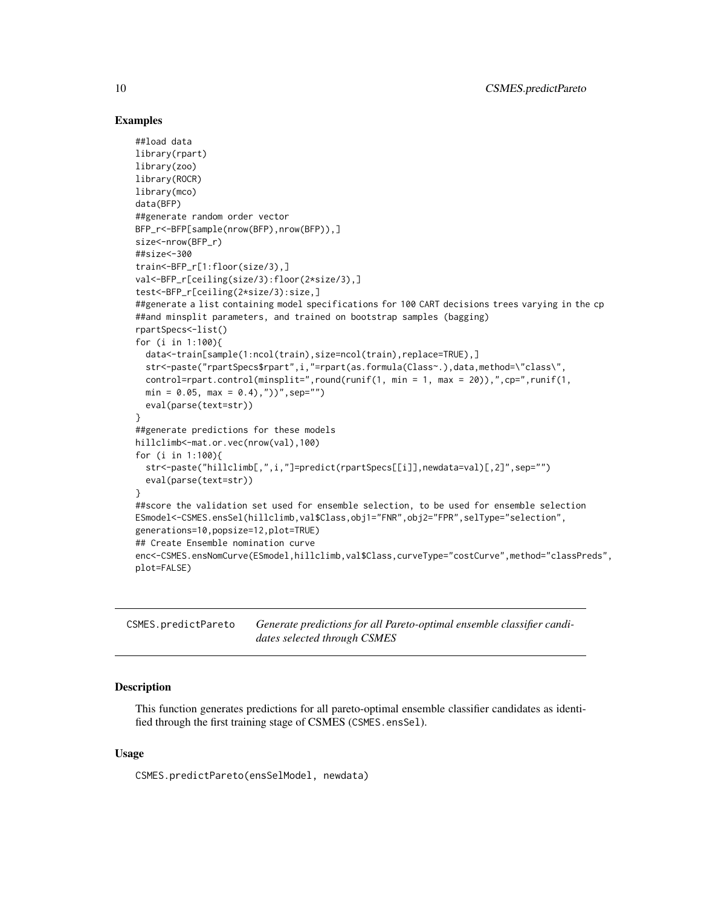### Examples

```
##load data
library(rpart)
library(zoo)
library(ROCR)
library(mco)
data(BFP)
##generate random order vector
BFP_r<-BFP[sample(nrow(BFP),nrow(BFP)),]
size<-nrow(BFP_r)
##size<-300
train<-BFP_r[1:floor(size/3),]
val<-BFP_r[ceiling(size/3):floor(2*size/3),]
test<-BFP_r[ceiling(2*size/3):size,]
##generate a list containing model specifications for 100 CART decisions trees varying in the cp
##and minsplit parameters, and trained on bootstrap samples (bagging)
rpartSpecs<-list()
for (i in 1:100){
  data<-train[sample(1:ncol(train),size=ncol(train),replace=TRUE),]
  str<-paste("rpartSpecs$rpart",i,"=rpart(as.formula(Class~.),data,method=\"class\",
  control=rpart.control(minsplit=",round(runif(1, min = 1, max = 20)),",cp=",runif(1,
  min = 0.05, max = 0.4, "))", sep="")
  eval(parse(text=str))
}
##generate predictions for these models
hillclimb<-mat.or.vec(nrow(val),100)
for (i in 1:100){
  str<-paste("hillclimb[,",i,"]=predict(rpartSpecs[[i]],newdata=val)[,2]",sep="")
  eval(parse(text=str))
}
##score the validation set used for ensemble selection, to be used for ensemble selection
ESmodel<-CSMES.ensSel(hillclimb,val$Class,obj1="FNR",obj2="FPR",selType="selection",
generations=10,popsize=12,plot=TRUE)
## Create Ensemble nomination curve
enc<-CSMES.ensNomCurve(ESmodel,hillclimb,val$Class,curveType="costCurve",method="classPreds",
plot=FALSE)
```
<span id="page-9-1"></span>CSMES.predictPareto *Generate predictions for all Pareto-optimal ensemble classifier candidates selected through CSMES*

#### Description

This function generates predictions for all pareto-optimal ensemble classifier candidates as identified through the first training stage of CSMES (CSMES.ensSel).

#### Usage

CSMES.predictPareto(ensSelModel, newdata)

<span id="page-9-0"></span>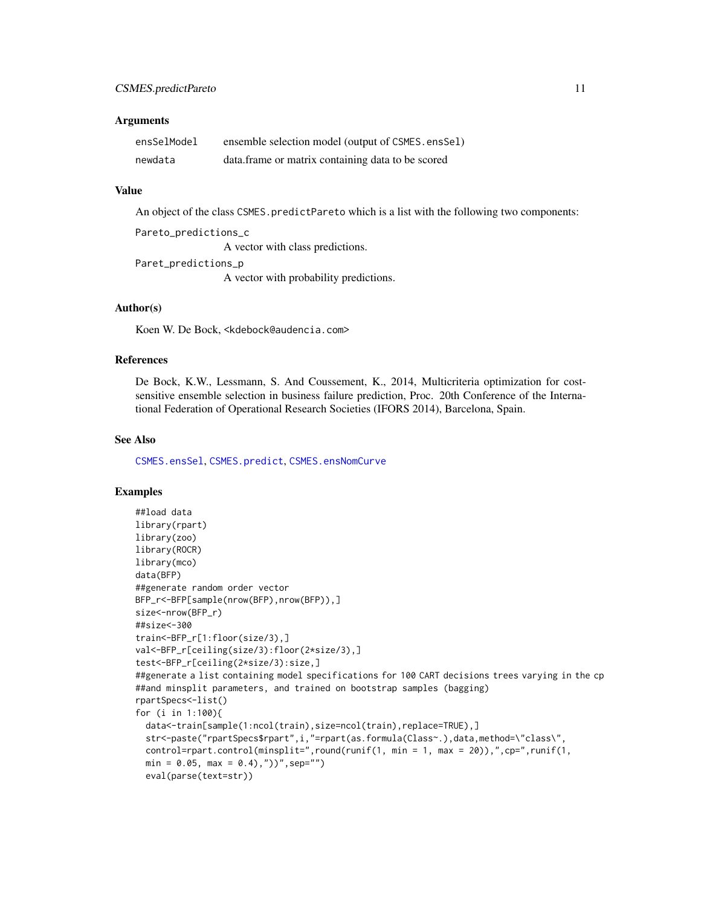#### <span id="page-10-0"></span>**Arguments**

| ensSelModel | ensemble selection model (output of CSMES.ensSel)  |
|-------------|----------------------------------------------------|
| newdata     | data. frame or matrix containing data to be scored |

#### Value

An object of the class CSMES.predictPareto which is a list with the following two components:

```
Pareto_predictions_c
```
A vector with class predictions.

```
Paret_predictions_p
```
A vector with probability predictions.

### Author(s)

Koen W. De Bock, <kdebock@audencia.com>

#### References

De Bock, K.W., Lessmann, S. And Coussement, K., 2014, Multicriteria optimization for costsensitive ensemble selection in business failure prediction, Proc. 20th Conference of the International Federation of Operational Research Societies (IFORS 2014), Barcelona, Spain.

#### See Also

[CSMES.ensSel](#page-5-1), [CSMES.predict](#page-7-1), [CSMES.ensNomCurve](#page-3-1)

```
##load data
library(rpart)
library(zoo)
library(ROCR)
library(mco)
data(BFP)
##generate random order vector
BFP_r<-BFP[sample(nrow(BFP),nrow(BFP)),]
size<-nrow(BFP_r)
##size<-300
train<-BFP_r[1:floor(size/3),]
val<-BFP_r[ceiling(size/3):floor(2*size/3),]
test<-BFP_r[ceiling(2*size/3):size,]
##generate a list containing model specifications for 100 CART decisions trees varying in the cp
##and minsplit parameters, and trained on bootstrap samples (bagging)
rpartSpecs<-list()
for (i in 1:100){
  data<-train[sample(1:ncol(train),size=ncol(train),replace=TRUE),]
  str<-paste("rpartSpecs$rpart",i,"=rpart(as.formula(Class~.),data,method=\"class\",
  control=rpart.control(minsplit=",round(runif(1, min = 1, max = 20)),",cp=",runif(1,
  min = 0.05, max = 0.4, "))", sep="")
  eval(parse(text=str))
```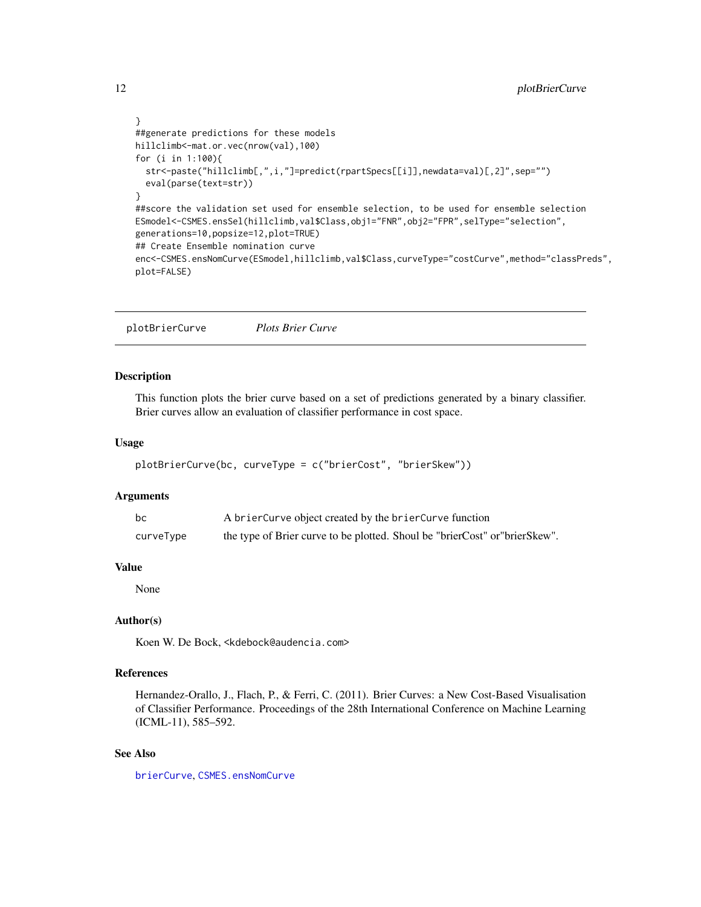```
}
##generate predictions for these models
hillclimb<-mat.or.vec(nrow(val),100)
for (i in 1:100){
  str<-paste("hillclimb[,",i,"]=predict(rpartSpecs[[i]],newdata=val)[,2]",sep="")
  eval(parse(text=str))
}
##score the validation set used for ensemble selection, to be used for ensemble selection
ESmodel<-CSMES.ensSel(hillclimb,val$Class,obj1="FNR",obj2="FPR",selType="selection",
generations=10,popsize=12,plot=TRUE)
## Create Ensemble nomination curve
enc<-CSMES.ensNomCurve(ESmodel,hillclimb,val$Class,curveType="costCurve",method="classPreds",
plot=FALSE)
```
<span id="page-11-1"></span>plotBrierCurve *Plots Brier Curve*

#### Description

This function plots the brier curve based on a set of predictions generated by a binary classifier. Brier curves allow an evaluation of classifier performance in cost space.

#### Usage

```
plotBrierCurve(bc, curveType = c("brierCost", "brierSkew"))
```
# Arguments

| bc        | A brier Curve object created by the brier Curve function                    |
|-----------|-----------------------------------------------------------------------------|
| curveType | the type of Brier curve to be plotted. Shoul be "brierCost" or "brierSkew". |

# Value

None

# Author(s)

Koen W. De Bock, <kdebock@audencia.com>

## References

Hernandez-Orallo, J., Flach, P., & Ferri, C. (2011). Brier Curves: a New Cost-Based Visualisation of Classifier Performance. Proceedings of the 28th International Conference on Machine Learning (ICML-11), 585–592.

# See Also

[brierCurve](#page-1-1), [CSMES.ensNomCurve](#page-3-1)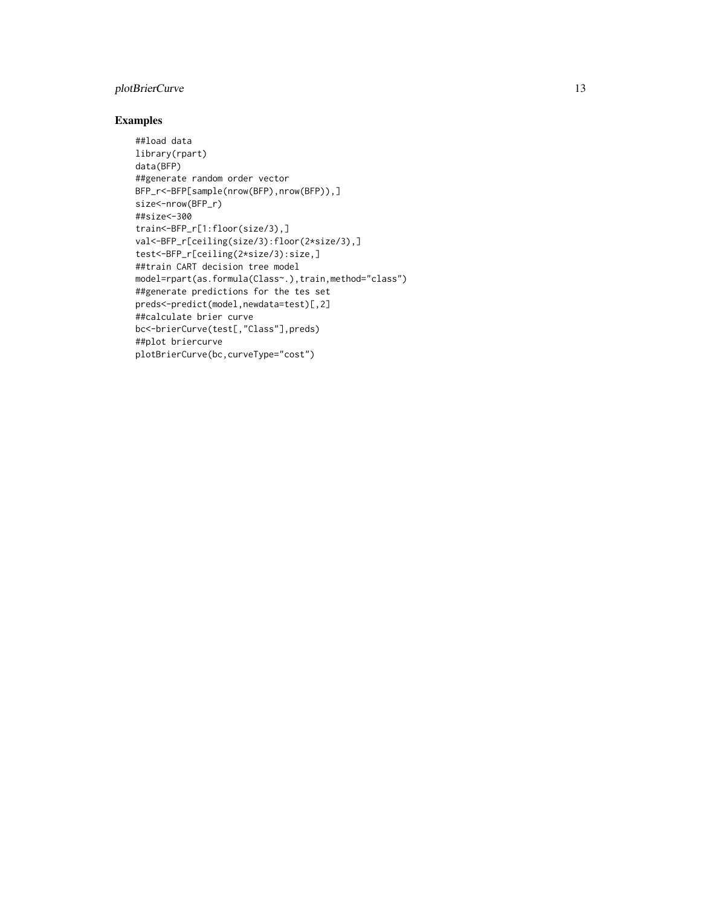# plotBrierCurve 13

```
##load data
library(rpart)
data(BFP)
##generate random order vector
BFP_r<-BFP[sample(nrow(BFP),nrow(BFP)),]
size<-nrow(BFP_r)
##size<-300
train<-BFP_r[1:floor(size/3),]
val<-BFP_r[ceiling(size/3):floor(2*size/3),]
test<-BFP_r[ceiling(2*size/3):size,]
##train CART decision tree model
model=rpart(as.formula(Class~.),train,method="class")
##generate predictions for the tes set
preds<-predict(model,newdata=test)[,2]
##calculate brier curve
bc<-brierCurve(test[,"Class"],preds)
##plot briercurve
plotBrierCurve(bc,curveType="cost")
```